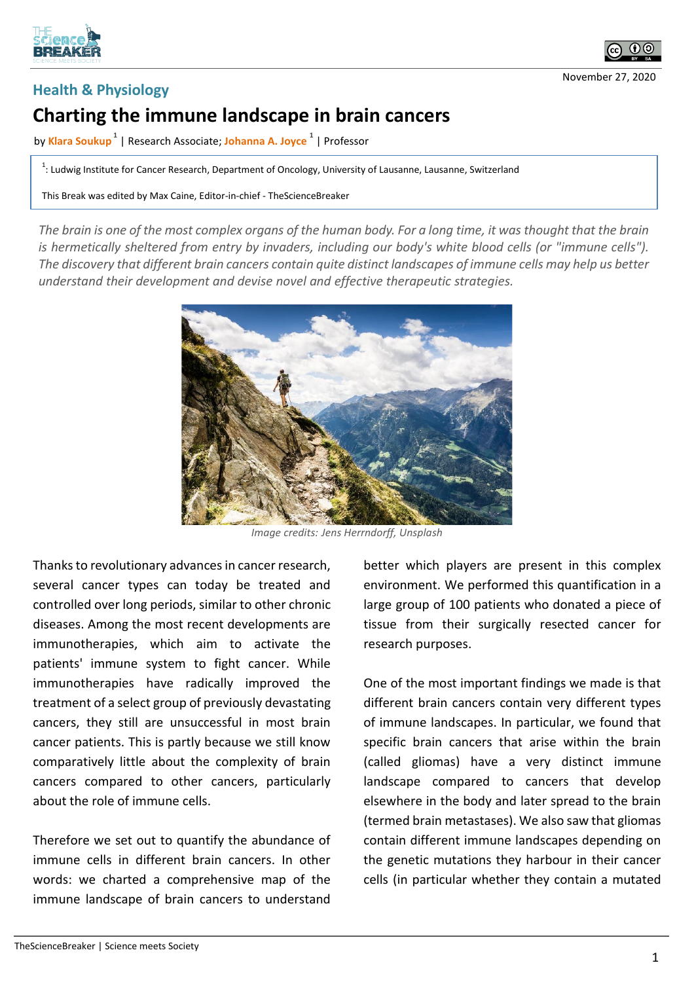



November 27, 2020

## **Health & Physiology**

## **Charting the immune landscape in brain cancers**

by **Klara Soukup <sup>1</sup>** | Research Associate; **Johanna A. Joyce <sup>1</sup>** | Professor

 $1$ : Ludwig Institute for Cancer Research, Department of Oncology, University of Lausanne, Lausanne, Switzerland

This Break was edited by Max Caine, Editor-in-chief - TheScienceBreaker

*The brain is one of the most complex organs of the human body. For a long time, it was thought that the brain is hermetically sheltered from entry by invaders, including our body's white blood cells (or "immune cells"). The discovery that different brain cancers contain quite distinct landscapes of immune cells may help us better understand their development and devise novel and effective therapeutic strategies.*



*Image credits: Jens Herrndorff, Unsplash*

Thanks to revolutionary advances in cancer research, several cancer types can today be treated and controlled over long periods, similar to other chronic diseases. Among the most recent developments are immunotherapies, which aim to activate the patients' immune system to fight cancer. While immunotherapies have radically improved the treatment of a select group of previously devastating cancers, they still are unsuccessful in most brain cancer patients. This is partly because we still know comparatively little about the complexity of brain cancers compared to other cancers, particularly about the role of immune cells.

Therefore we set out to quantify the abundance of immune cells in different brain cancers. In other words: we charted a comprehensive map of the immune landscape of brain cancers to understand better which players are present in this complex environment. We performed this quantification in a large group of 100 patients who donated a piece of tissue from their surgically resected cancer for research purposes.

One of the most important findings we made is that different brain cancers contain very different types of immune landscapes. In particular, we found that specific brain cancers that arise within the brain (called gliomas) have a very distinct immune landscape compared to cancers that develop elsewhere in the body and later spread to the brain (termed brain metastases). We also saw that gliomas contain different immune landscapes depending on the genetic mutations they harbour in their cancer cells (in particular whether they contain a mutated